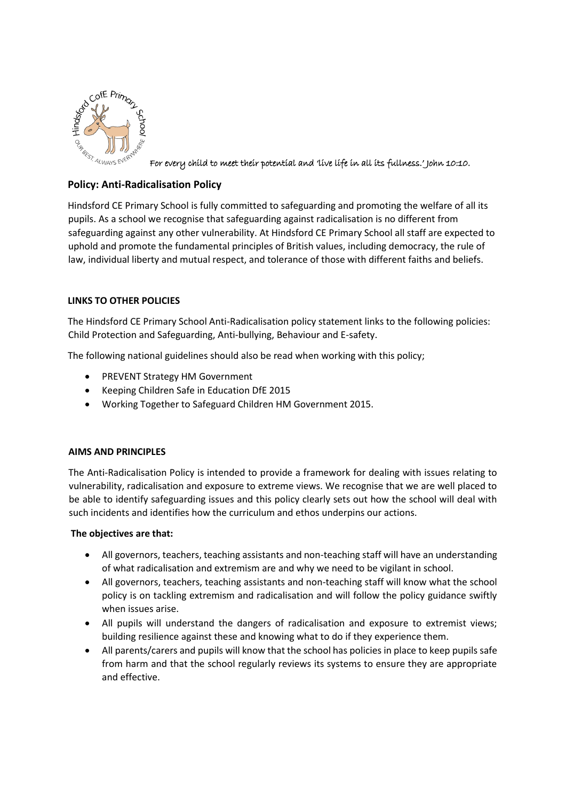

For every child to meet their potential and 'live life in all its fullness.' John 10:10.

# **Policy: Anti-Radicalisation Policy**

Hindsford CE Primary School is fully committed to safeguarding and promoting the welfare of all its pupils. As a school we recognise that safeguarding against radicalisation is no different from safeguarding against any other vulnerability. At Hindsford CE Primary School all staff are expected to uphold and promote the fundamental principles of British values, including democracy, the rule of law, individual liberty and mutual respect, and tolerance of those with different faiths and beliefs.

## **LINKS TO OTHER POLICIES**

The Hindsford CE Primary School Anti-Radicalisation policy statement links to the following policies: Child Protection and Safeguarding, Anti-bullying, Behaviour and E-safety.

The following national guidelines should also be read when working with this policy;

- PREVENT Strategy HM Government
- Keeping Children Safe in Education DfE 2015
- Working Together to Safeguard Children HM Government 2015.

## **AIMS AND PRINCIPLES**

The Anti-Radicalisation Policy is intended to provide a framework for dealing with issues relating to vulnerability, radicalisation and exposure to extreme views. We recognise that we are well placed to be able to identify safeguarding issues and this policy clearly sets out how the school will deal with such incidents and identifies how the curriculum and ethos underpins our actions.

## **The objectives are that:**

- All governors, teachers, teaching assistants and non-teaching staff will have an understanding of what radicalisation and extremism are and why we need to be vigilant in school.
- All governors, teachers, teaching assistants and non-teaching staff will know what the school policy is on tackling extremism and radicalisation and will follow the policy guidance swiftly when issues arise.
- All pupils will understand the dangers of radicalisation and exposure to extremist views; building resilience against these and knowing what to do if they experience them.
- All parents/carers and pupils will know that the school has policies in place to keep pupils safe from harm and that the school regularly reviews its systems to ensure they are appropriate and effective.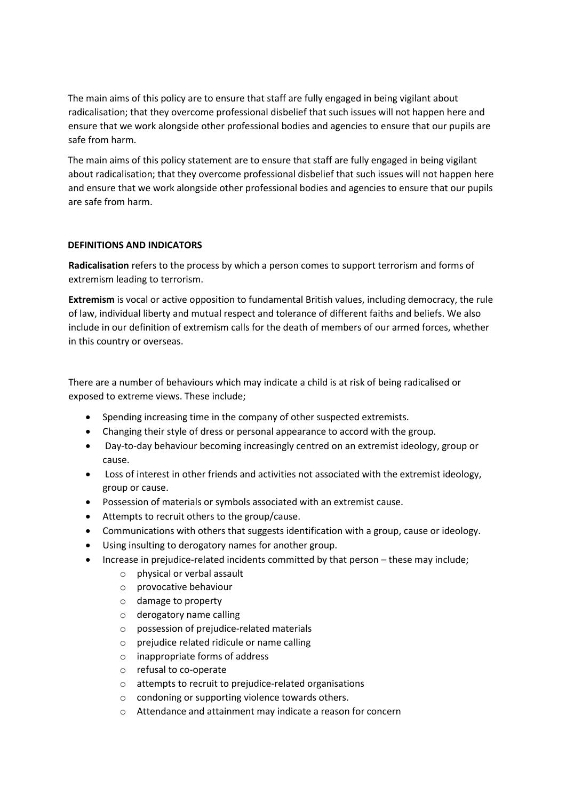The main aims of this policy are to ensure that staff are fully engaged in being vigilant about radicalisation; that they overcome professional disbelief that such issues will not happen here and ensure that we work alongside other professional bodies and agencies to ensure that our pupils are safe from harm.

The main aims of this policy statement are to ensure that staff are fully engaged in being vigilant about radicalisation; that they overcome professional disbelief that such issues will not happen here and ensure that we work alongside other professional bodies and agencies to ensure that our pupils are safe from harm.

## **DEFINITIONS AND INDICATORS**

**Radicalisation** refers to the process by which a person comes to support terrorism and forms of extremism leading to terrorism.

**Extremism** is vocal or active opposition to fundamental British values, including democracy, the rule of law, individual liberty and mutual respect and tolerance of different faiths and beliefs. We also include in our definition of extremism calls for the death of members of our armed forces, whether in this country or overseas.

There are a number of behaviours which may indicate a child is at risk of being radicalised or exposed to extreme views. These include;

- Spending increasing time in the company of other suspected extremists.
- Changing their style of dress or personal appearance to accord with the group.
- Day-to-day behaviour becoming increasingly centred on an extremist ideology, group or cause.
- Loss of interest in other friends and activities not associated with the extremist ideology, group or cause.
- Possession of materials or symbols associated with an extremist cause.
- Attempts to recruit others to the group/cause.
- Communications with others that suggests identification with a group, cause or ideology.
- Using insulting to derogatory names for another group.
- Increase in prejudice-related incidents committed by that person these may include;
	- o physical or verbal assault
	- o provocative behaviour
	- o damage to property
	- o derogatory name calling
	- o possession of prejudice-related materials
	- o prejudice related ridicule or name calling
	- o inappropriate forms of address
	- o refusal to co-operate
	- o attempts to recruit to prejudice-related organisations
	- o condoning or supporting violence towards others.
	- o Attendance and attainment may indicate a reason for concern